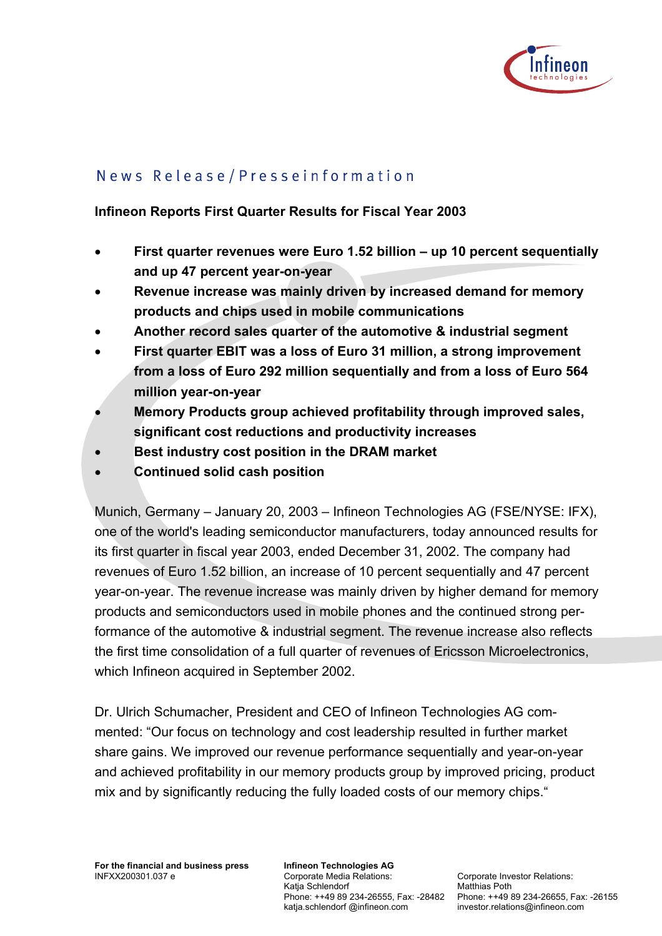

# News Release/Presseinformation

#### **Infineon Reports First Quarter Results for Fiscal Year 2003**

- **First quarter revenues were Euro 1.52 billion up 10 percent sequentially and up 47 percent year-on-year**
- **Revenue increase was mainly driven by increased demand for memory products and chips used in mobile communications**
- **Another record sales quarter of the automotive & industrial segment**
- **First quarter EBIT was a loss of Euro 31 million, a strong improvement from a loss of Euro 292 million sequentially and from a loss of Euro 564 million year-on-year**
- • **Memory Products group achieved profitability through improved sales, significant cost reductions and productivity increases**
- **Best industry cost position in the DRAM market**
- • **Continued solid cash position**

Munich, Germany – January 20, 2003 – Infineon Technologies AG (FSE/NYSE: IFX), one of the world's leading semiconductor manufacturers, today announced results for its first quarter in fiscal year 2003, ended December 31, 2002. The company had revenues of Euro 1.52 billion, an increase of 10 percent sequentially and 47 percent year-on-year. The revenue increase was mainly driven by higher demand for memory products and semiconductors used in mobile phones and the continued strong performance of the automotive & industrial segment. The revenue increase also reflects the first time consolidation of a full quarter of revenues of Ericsson Microelectronics, which Infineon acquired in September 2002.

Dr. Ulrich Schumacher, President and CEO of Infineon Technologies AG commented: "Our focus on technology and cost leadership resulted in further market share gains. We improved our revenue performance sequentially and year-on-year and achieved profitability in our memory products group by improved pricing, product mix and by significantly reducing the fully loaded costs of our memory chips."

**Infineon Technologies AG**  Corporate Media Relations: Katja Schlendorf katja.schlendorf @infineon.com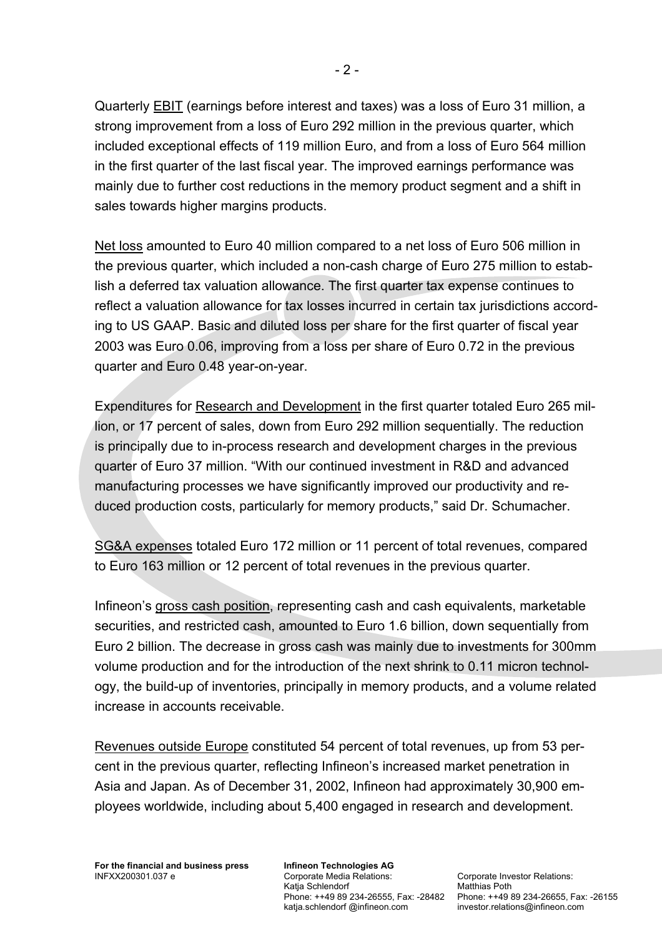Quarterly EBIT (earnings before interest and taxes) was a loss of Euro 31 million, a strong improvement from a loss of Euro 292 million in the previous quarter, which included exceptional effects of 119 million Euro, and from a loss of Euro 564 million in the first quarter of the last fiscal year. The improved earnings performance was mainly due to further cost reductions in the memory product segment and a shift in sales towards higher margins products.

Net loss amounted to Euro 40 million compared to a net loss of Euro 506 million in the previous quarter, which included a non-cash charge of Euro 275 million to establish a deferred tax valuation allowance. The first quarter tax expense continues to reflect a valuation allowance for tax losses incurred in certain tax jurisdictions according to US GAAP. Basic and diluted loss per share for the first quarter of fiscal year 2003 was Euro 0.06, improving from a loss per share of Euro 0.72 in the previous quarter and Euro 0.48 year-on-year.

Expenditures for Research and Development in the first quarter totaled Euro 265 million, or 17 percent of sales, down from Euro 292 million sequentially. The reduction is principally due to in-process research and development charges in the previous quarter of Euro 37 million. "With our continued investment in R&D and advanced manufacturing processes we have significantly improved our productivity and reduced production costs, particularly for memory products," said Dr. Schumacher.

SG&A expenses totaled Euro 172 million or 11 percent of total revenues, compared to Euro 163 million or 12 percent of total revenues in the previous quarter.

Infineon's gross cash position, representing cash and cash equivalents, marketable securities, and restricted cash, amounted to Euro 1.6 billion, down sequentially from Euro 2 billion. The decrease in gross cash was mainly due to investments for 300mm volume production and for the introduction of the next shrink to 0.11 micron technology, the build-up of inventories, principally in memory products, and a volume related increase in accounts receivable.

Revenues outside Europe constituted 54 percent of total revenues, up from 53 percent in the previous quarter, reflecting Infineon's increased market penetration in Asia and Japan. As of December 31, 2002, Infineon had approximately 30,900 employees worldwide, including about 5,400 engaged in research and development.

**Infineon Technologies AG**  Corporate Media Relations: Katja Schlendorf katja.schlendorf @infineon.com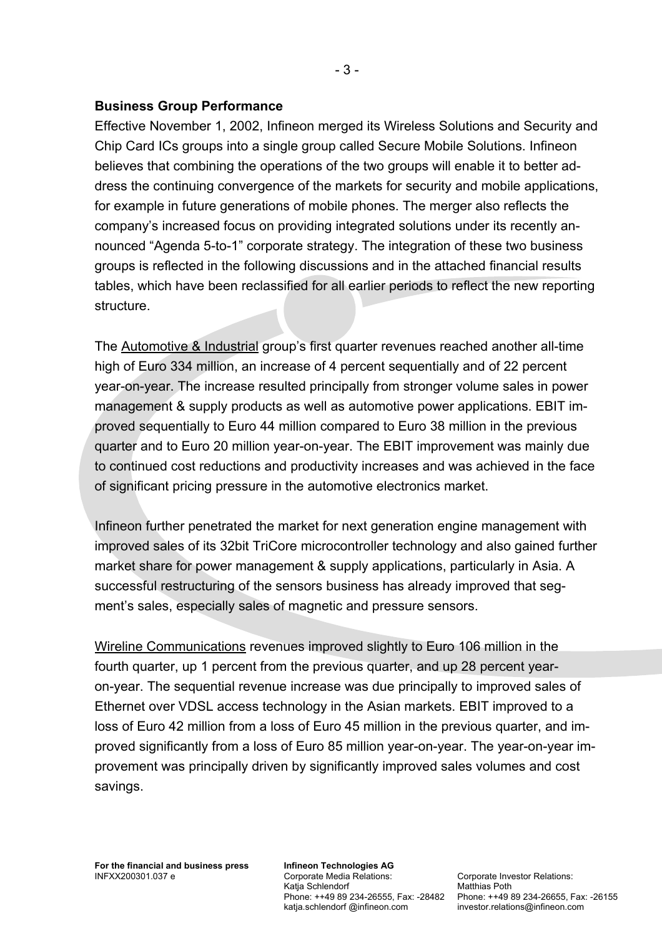### **Business Group Performance**

Effective November 1, 2002, Infineon merged its Wireless Solutions and Security and Chip Card ICs groups into a single group called Secure Mobile Solutions. Infineon believes that combining the operations of the two groups will enable it to better address the continuing convergence of the markets for security and mobile applications, for example in future generations of mobile phones. The merger also reflects the company's increased focus on providing integrated solutions under its recently announced "Agenda 5-to-1" corporate strategy. The integration of these two business groups is reflected in the following discussions and in the attached financial results tables, which have been reclassified for all earlier periods to reflect the new reporting structure.

The Automotive & Industrial group's first quarter revenues reached another all-time high of Euro 334 million, an increase of 4 percent sequentially and of 22 percent year-on-year. The increase resulted principally from stronger volume sales in power management & supply products as well as automotive power applications. EBIT improved sequentially to Euro 44 million compared to Euro 38 million in the previous quarter and to Euro 20 million year-on-year. The EBIT improvement was mainly due to continued cost reductions and productivity increases and was achieved in the face of significant pricing pressure in the automotive electronics market.

Infineon further penetrated the market for next generation engine management with improved sales of its 32bit TriCore microcontroller technology and also gained further market share for power management & supply applications, particularly in Asia. A successful restructuring of the sensors business has already improved that segment's sales, especially sales of magnetic and pressure sensors.

Wireline Communications revenues improved slightly to Euro 106 million in the fourth quarter, up 1 percent from the previous quarter, and up 28 percent yearon-year. The sequential revenue increase was due principally to improved sales of Ethernet over VDSL access technology in the Asian markets. EBIT improved to a loss of Euro 42 million from a loss of Euro 45 million in the previous quarter, and improved significantly from a loss of Euro 85 million year-on-year. The year-on-year improvement was principally driven by significantly improved sales volumes and cost savings.

**Infineon Technologies AG**  Corporate Media Relations: Katja Schlendorf katja.schlendorf @infineon.com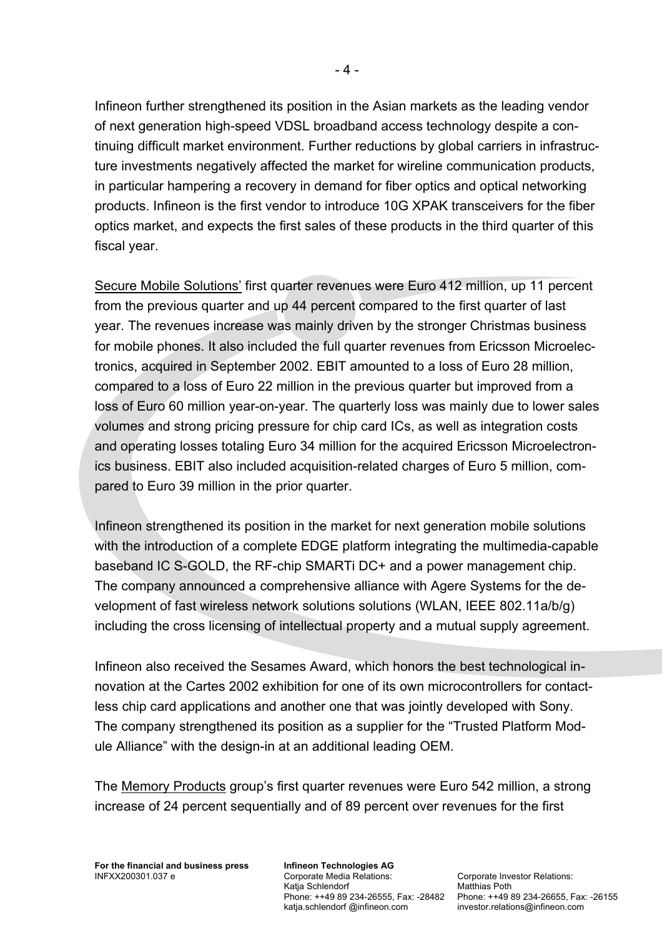Infineon further strengthened its position in the Asian markets as the leading vendor of next generation high-speed VDSL broadband access technology despite a continuing difficult market environment. Further reductions by global carriers in infrastructure investments negatively affected the market for wireline communication products, in particular hampering a recovery in demand for fiber optics and optical networking products. Infineon is the first vendor to introduce 10G XPAK transceivers for the fiber optics market, and expects the first sales of these products in the third quarter of this fiscal year.

Secure Mobile Solutions' first quarter revenues were Euro 412 million, up 11 percent from the previous quarter and up 44 percent compared to the first quarter of last year. The revenues increase was mainly driven by the stronger Christmas business for mobile phones. It also included the full quarter revenues from Ericsson Microelectronics, acquired in September 2002. EBIT amounted to a loss of Euro 28 million, compared to a loss of Euro 22 million in the previous quarter but improved from a loss of Euro 60 million year-on-year. The quarterly loss was mainly due to lower sales volumes and strong pricing pressure for chip card ICs, as well as integration costs and operating losses totaling Euro 34 million for the acquired Ericsson Microelectronics business. EBIT also included acquisition-related charges of Euro 5 million, compared to Euro 39 million in the prior quarter.

Infineon strengthened its position in the market for next generation mobile solutions with the introduction of a complete EDGE platform integrating the multimedia-capable baseband IC S-GOLD, the RF-chip SMARTi DC+ and a power management chip. The company announced a comprehensive alliance with Agere Systems for the development of fast wireless network solutions solutions (WLAN, IEEE 802.11a/b/g) including the cross licensing of intellectual property and a mutual supply agreement.

Infineon also received the Sesames Award, which honors the best technological innovation at the Cartes 2002 exhibition for one of its own microcontrollers for contactless chip card applications and another one that was jointly developed with Sony. The company strengthened its position as a supplier for the "Trusted Platform Module Alliance" with the design-in at an additional leading OEM.

The Memory Products group's first quarter revenues were Euro 542 million, a strong increase of 24 percent sequentially and of 89 percent over revenues for the first

**Infineon Technologies AG**  Corporate Media Relations: Katja Schlendorf katja.schlendorf @infineon.com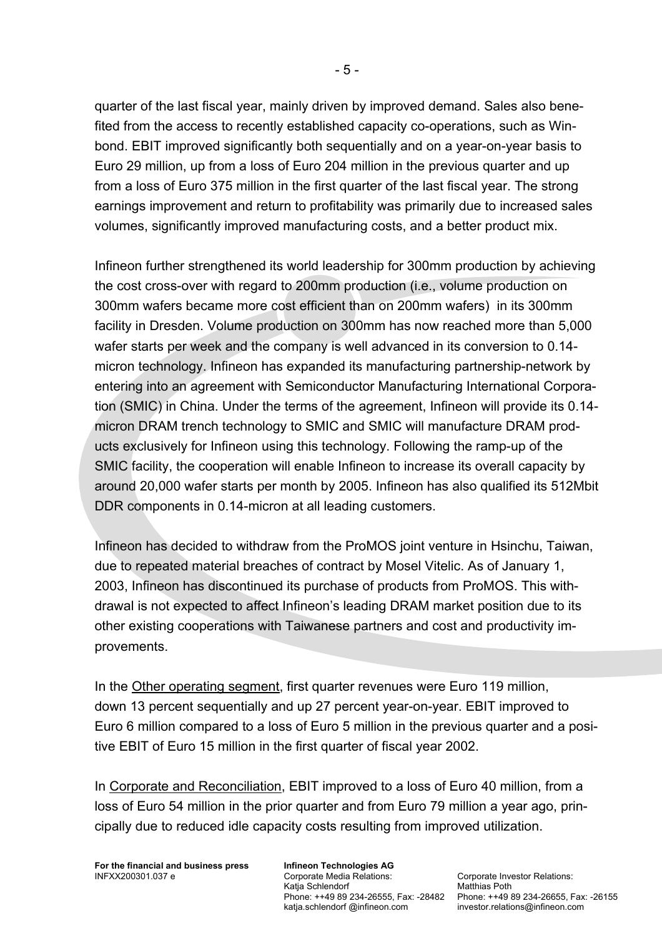quarter of the last fiscal year, mainly driven by improved demand. Sales also benefited from the access to recently established capacity co-operations, such as Winbond. EBIT improved significantly both sequentially and on a year-on-year basis to Euro 29 million, up from a loss of Euro 204 million in the previous quarter and up from a loss of Euro 375 million in the first quarter of the last fiscal year. The strong earnings improvement and return to profitability was primarily due to increased sales volumes, significantly improved manufacturing costs, and a better product mix.

Infineon further strengthened its world leadership for 300mm production by achieving the cost cross-over with regard to 200mm production (i.e., volume production on 300mm wafers became more cost efficient than on 200mm wafers) in its 300mm facility in Dresden. Volume production on 300mm has now reached more than 5,000 wafer starts per week and the company is well advanced in its conversion to 0.14 micron technology. Infineon has expanded its manufacturing partnership-network by entering into an agreement with Semiconductor Manufacturing International Corporation (SMIC) in China. Under the terms of the agreement, Infineon will provide its 0.14 micron DRAM trench technology to SMIC and SMIC will manufacture DRAM products exclusively for Infineon using this technology. Following the ramp-up of the SMIC facility, the cooperation will enable Infineon to increase its overall capacity by around 20,000 wafer starts per month by 2005. Infineon has also qualified its 512Mbit DDR components in 0.14-micron at all leading customers.

Infineon has decided to withdraw from the ProMOS joint venture in Hsinchu, Taiwan, due to repeated material breaches of contract by Mosel Vitelic. As of January 1, 2003, Infineon has discontinued its purchase of products from ProMOS. This withdrawal is not expected to affect Infineon's leading DRAM market position due to its other existing cooperations with Taiwanese partners and cost and productivity improvements.

In the Other operating segment, first quarter revenues were Euro 119 million, down 13 percent sequentially and up 27 percent year-on-year. EBIT improved to Euro 6 million compared to a loss of Euro 5 million in the previous quarter and a positive EBIT of Euro 15 million in the first quarter of fiscal year 2002.

In Corporate and Reconciliation, EBIT improved to a loss of Euro 40 million, from a loss of Euro 54 million in the prior quarter and from Euro 79 million a year ago, principally due to reduced idle capacity costs resulting from improved utilization.

**For the financial and business press**  INFXX200301.037 e

**Infineon Technologies AG**  Corporate Media Relations: Katja Schlendorf katja.schlendorf @infineon.com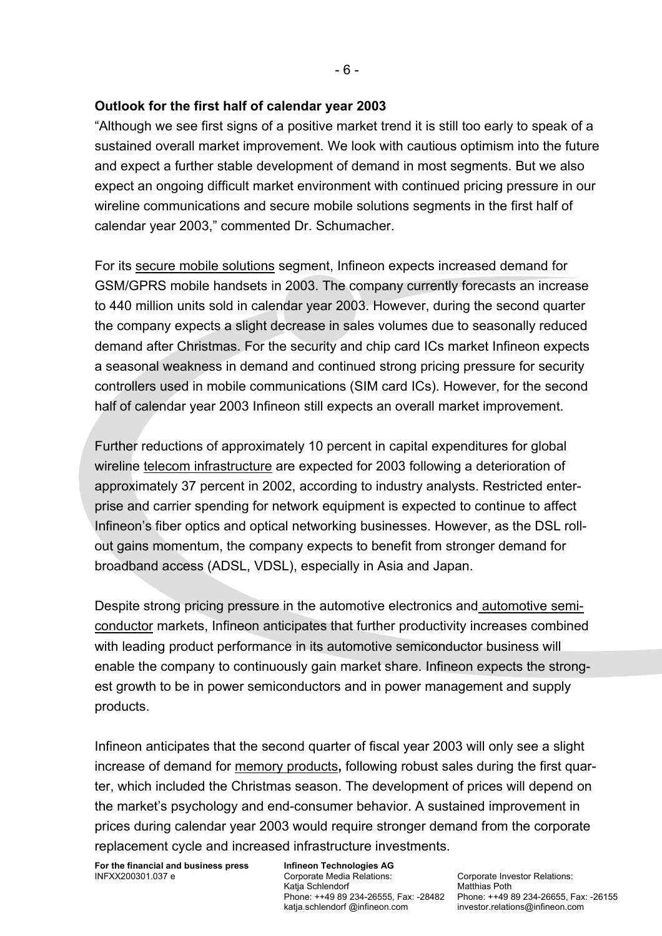## **Outlook for the first half of calendar year 2003**

"Although we see first signs of a positive market trend it is still too early to speak of a sustained overall market improvement. We look with cautious optimism into the future and expect a further stable development of demand in most segments. But we also expect an ongoing difficult market environment with continued pricing pressure in our wireline communications and secure mobile solutions segments in the first half of calendar year 2003," commented Dr. Schumacher.

For its secure mobile solutions segment, Infineon expects increased demand for GSM/GPRS mobile handsets in 2003. The company currently forecasts an increase to 440 million units sold in calendar year 2003. However, during the second quarter the company expects a slight decrease in sales volumes due to seasonally reduced demand after Christmas. For the security and chip card ICs market Infineon expects a seasonal weakness in demand and continued strong pricing pressure for security controllers used in mobile communications (SIM card ICs). However, for the second half of calendar year 2003 Infineon still expects an overall market improvement.

Further reductions of approximately 10 percent in capital expenditures for global wireline telecom infrastructure are expected for 2003 following a deterioration of approximately 37 percent in 2002, according to industry analysts. Restricted enterprise and carrier spending for network equipment is expected to continue to affect Infineon's fiber optics and optical networking businesses. However, as the DSL rollout gains momentum, the company expects to benefit from stronger demand for broadband access (ADSL, VDSL), especially in Asia and Japan.

Despite strong pricing pressure in the automotive electronics and automotive semiconductor markets, Infineon anticipates that further productivity increases combined with leading product performance in its automotive semiconductor business will enable the company to continuously gain market share. Infineon expects the strongest growth to be in power semiconductors and in power management and supply products.

Infineon anticipates that the second quarter of fiscal year 2003 will only see a slight increase of demand for memory products**,** following robust sales during the first quarter, which included the Christmas season. The development of prices will depend on the market's psychology and end-consumer behavior. A sustained improvement in prices during calendar year 2003 would require stronger demand from the corporate replacement cycle and increased infrastructure investments.

**For the financial and business press**  INFXX200301.037 e

**Infineon Technologies AG**  Corporate Media Relations: Katja Schlendorf katja.schlendorf @infineon.com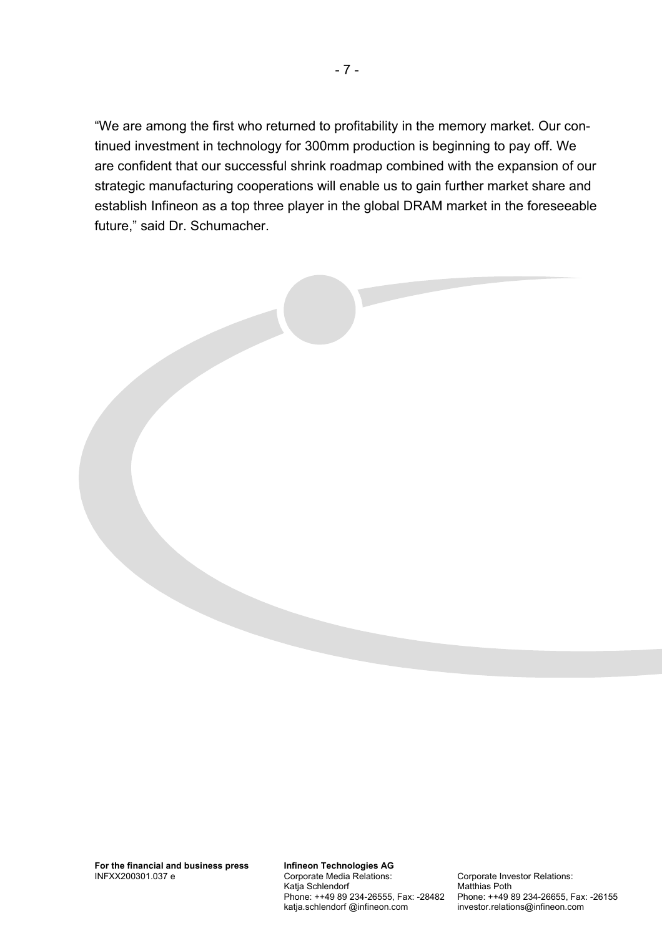"We are among the first who returned to profitability in the memory market. Our continued investment in technology for 300mm production is beginning to pay off. We are confident that our successful shrink roadmap combined with the expansion of our strategic manufacturing cooperations will enable us to gain further market share and establish Infineon as a top three player in the global DRAM market in the foreseeable future," said Dr. Schumacher.

**Infineon Technologies AG**  Corporate Media Relations: Katja Schlendorf Phone: ++49 89 234-26555, Fax: -28482 katja.schlendorf @infineon.com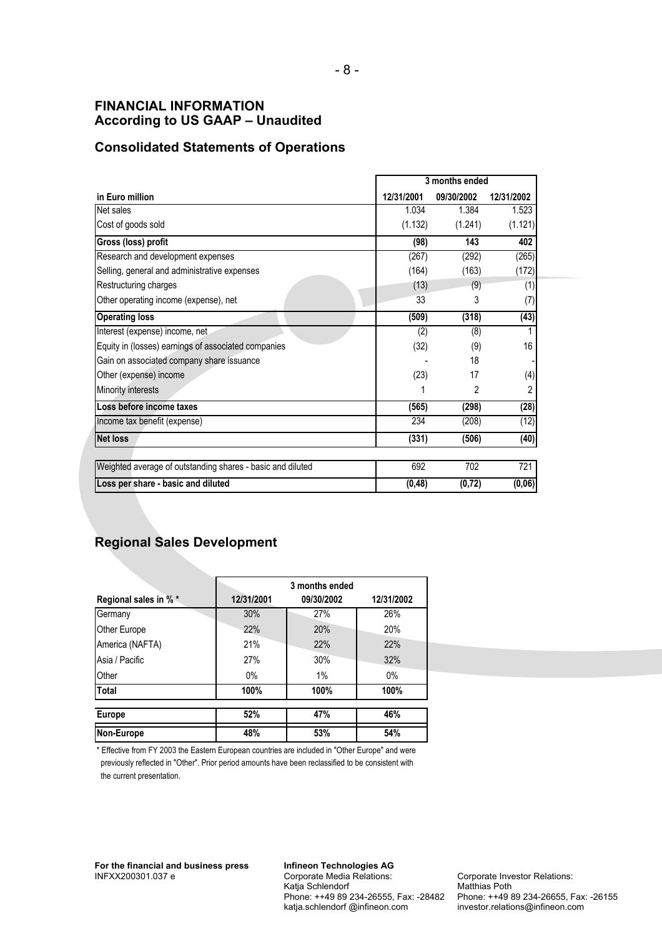#### **FINANCIAL INFORMATION According to US GAAP – Unaudited**

### **Consolidated Statements of Operations**

|                                                            |            | 3 months ended |            |  |  |
|------------------------------------------------------------|------------|----------------|------------|--|--|
| in Euro million                                            | 12/31/2001 | 09/30/2002     | 12/31/2002 |  |  |
| Net sales                                                  | 1.034      | 1.384          | 1.523      |  |  |
| Cost of goods sold                                         | (1.132)    | (1.241)        | (1.121)    |  |  |
| Gross (loss) profit                                        | (98)       | 143            | 402        |  |  |
| Research and development expenses                          | (267)      | (292)          | (265)      |  |  |
| Selling, general and administrative expenses               | (164)      | (163)          | (172)      |  |  |
| Restructuring charges                                      | (13)       | (9)            | (1)        |  |  |
| Other operating income (expense), net                      | 33         | 3              | (7)        |  |  |
| <b>Operating loss</b>                                      | (509)      | (318)          | (43)       |  |  |
| Interest (expense) income, net                             | (2)        | (8)            |            |  |  |
| Equity in (losses) earnings of associated companies        | (32)       | (9)            | 16         |  |  |
| Gain on associated company share issuance                  |            | 18             |            |  |  |
| Other (expense) income                                     | (23)       | 17             | (4)        |  |  |
| Minority interests                                         |            | 2              | 2          |  |  |
| Loss before income taxes                                   | (565)      | (298)          | (28)       |  |  |
| Income tax benefit (expense)                               | 234        | (208)          | (12)       |  |  |
| <b>Net loss</b>                                            | (331)      | (506)          | (40)       |  |  |
| Weighted average of outstanding shares - basic and diluted | 692        | 702            | 721        |  |  |
| Loss per share - basic and diluted                         | (0, 48)    | (0, 72)        | (0, 06)    |  |  |

# **Regional Sales Development**

|                      |            | 3 months ended |            |
|----------------------|------------|----------------|------------|
| Regional sales in %* | 12/31/2001 | 09/30/2002     | 12/31/2002 |
| Germany              | 30%        | 27%            | 26%        |
| <b>Other Europe</b>  | 22%        | 20%            | 20%        |
| America (NAFTA)      | 21%        | 22%            | 22%        |
| Asia / Pacific       | 27%        | 30%            | 32%        |
| Other                | $0\%$      | 1%             | 0%         |
| <b>Total</b>         | 100%       | 100%           | 100%       |
| <b>Europe</b>        | 52%        | 47%            | 46%        |
| Non-Europe           | 48%        | 53%            | 54%        |

\* Effective from FY 2003 the Eastern European countries are included in "Other Europe" and were previously reflected in "Other". Prior period amounts have been reclassified to be consistent with the current presentation.

**Infineon Technologies AG**  Corporate Media Relations: Katja Schlendorf Phone: ++49 89 234-26555, Fax: -28482 katja.schlendorf @infineon.com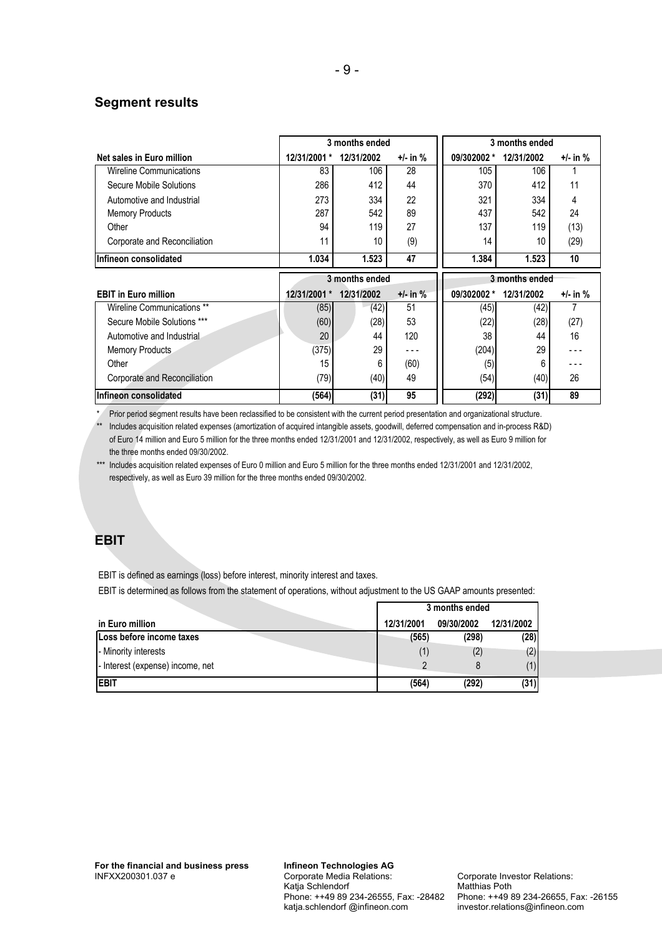#### **Segment results**

|                                |                      | 3 months ended |            |             | 3 months ended |          |
|--------------------------------|----------------------|----------------|------------|-------------|----------------|----------|
| Net sales in Euro million      | 12/31/2001           | 12/31/2002     | +/- in %   | 09/302002 * | 12/31/2002     | +/- in % |
| <b>Wireline Communications</b> | 83                   | 106            | 28         | 105         | 106            |          |
| Secure Mobile Solutions        | 286                  | 412            | 44         | 370         | 412            | 11       |
| Automotive and Industrial      | 273                  | 334            | 22         | 321         | 334            | 4        |
| <b>Memory Products</b>         | 287                  | 542            | 89         | 437         | 542            | 24       |
| Other                          | 94                   | 119            | 27         | 137         | 119            | (13)     |
| Corporate and Reconciliation   | 11                   | 10             | (9)        | 14          | 10             | (29)     |
| Infineon consolidated          | 1.034                | 1.523          | 47         | 1.384       | 1.523          | 10       |
|                                |                      |                |            |             |                |          |
|                                |                      | 3 months ended |            |             | 3 months ended |          |
| <b>EBIT in Euro million</b>    | 12/31/2001<br>$\ast$ | 12/31/2002     | $+/-$ in % | 09/302002 * | 12/31/2002     | +/- in % |
| Wireline Communications **     | (85)                 | (42)           | 51         | (45)        | (42)           |          |
| Secure Mobile Solutions ***    | (60)                 | (28)           | 53         | (22)        | (28)           | (27)     |
| Automotive and Industrial      | 20                   | 44             | 120        | 38          | 44             | 16       |
| <b>Memory Products</b>         | (375)                | 29             | $- - -$    | (204)       | 29             |          |
| Other                          | 15                   | 6              | (60)       | (5)         | 6              |          |
| Corporate and Reconciliation   | (79)                 | (40)           | 49         | (54)        | (40)           | 26       |

\* Prior period segment results have been reclassified to be consistent with the current period presentation and organizational structure.

\*\* Includes acquisition related expenses (amortization of acquired intangible assets, goodwill, deferred compensation and in-process R&D) of Euro 14 million and Euro 5 million for the three months ended 12/31/2001 and 12/31/2002, respectively, as well as Euro 9 million for the three months ended 09/30/2002.

\*\*\* Includes acquisition related expenses of Euro 0 million and Euro 5 million for the three months ended 12/31/2001 and 12/31/2002, respectively, as well as Euro 39 million for the three months ended 09/30/2002.

#### **EBIT**

EBIT is defined as earnings (loss) before interest, minority interest and taxes.

EBIT is determined as follows from the statement of operations, without adjustment to the US GAAP amounts presented:

|                                  | 3 months ended |            |            |
|----------------------------------|----------------|------------|------------|
| in Euro million                  | 12/31/2001     | 09/30/2002 | 12/31/2002 |
| Loss before income taxes         | (565)          | (298)      | (28)       |
| - Minority interests             |                |            | (2)        |
| - Interest (expense) income, net |                |            | (1)        |
| <b>EBIT</b>                      | (564)          | (292)      | (31)       |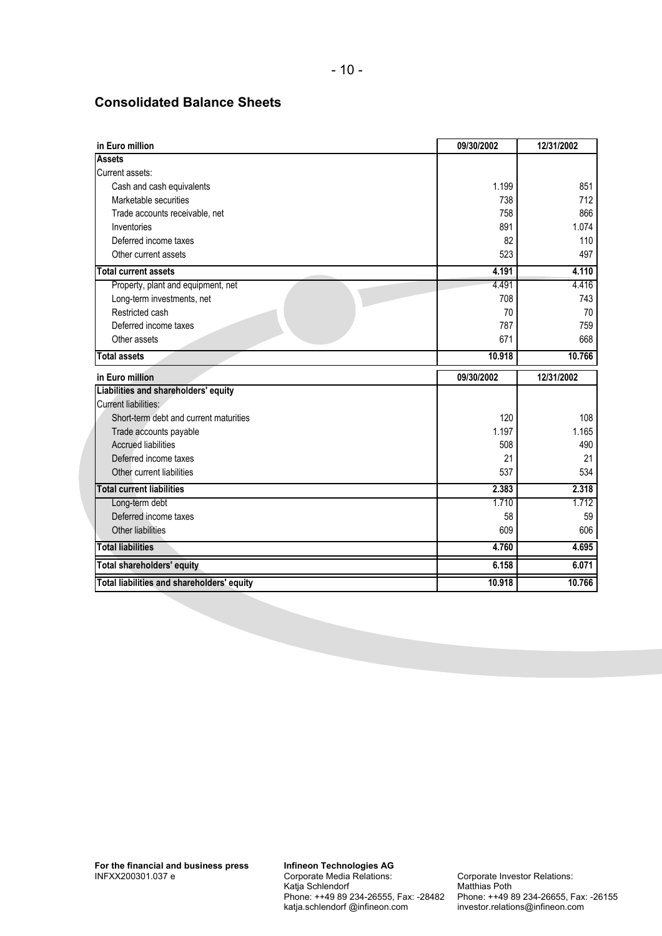#### **Consolidated Balance Sheets**

| in Euro million                        | 09/30/2002 | 12/31/2002 |
|----------------------------------------|------------|------------|
| <b>Assets</b>                          |            |            |
| Current assets:                        |            |            |
| Cash and cash equivalents              | 1.199      | 851        |
| Marketable securities                  | 738        | 712        |
| Trade accounts receivable, net         | 758        | 866        |
| Inventories                            | 891        | 1.074      |
| Deferred income taxes                  | 82         | 110        |
| Other current assets                   | 523        | 497        |
| <b>Total current assets</b>            | 4.191      | 4.110      |
| Property, plant and equipment, net     | 4.491      | 4.416      |
| Long-term investments, net             | 708        | 743        |
| Restricted cash                        | 70         | 70         |
| Deferred income taxes                  | 787        | 759        |
| Other assets                           | 671        | 668        |
| <b>Total assets</b>                    | 10.918     | 10.766     |
|                                        |            |            |
| in Euro million                        | 09/30/2002 | 12/31/2002 |
| Liabilities and shareholders' equity   |            |            |
| Current liabilities:                   |            |            |
| Short-term debt and current maturities | 120        | 108        |
| Trade accounts payable                 | 1.197      | 1.165      |
| <b>Accrued liabilities</b>             | 508        | 490        |
| Deferred income taxes                  | 21         | 21         |
| Other current liabilities              | 537        | 534        |
| <b>Total current liabilities</b>       | 2.383      | 2.318      |
| Long-term debt                         | 1.710      | 1.712      |
| Deferred income taxes                  | 58         | 59         |
| Other liabilities                      | 609        | 606        |
| <b>Total liabilities</b>               | 4.760      | 4.695      |
| <b>Total shareholders' equity</b>      | 6.158      | 6.071      |

**Infineon Technologies AG**  Corporate Media Relations: Katja Schlendorf Phone: ++49 89 234-26555, Fax: -28482 katja.schlendorf @infineon.com